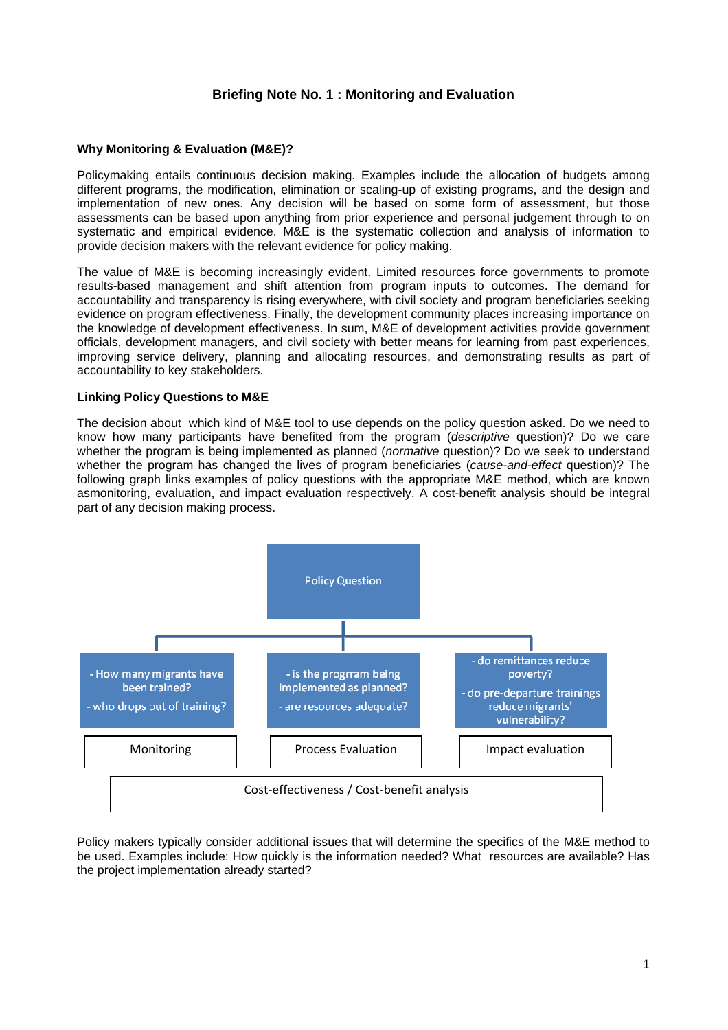# **Briefing Note No. 1 : Monitoring and Evaluation**

### **Why Monitoring & Evaluation (M&E)?**

Policymaking entails continuous decision making. Examples include the allocation of budgets among different programs, the modification, elimination or scaling-up of existing programs, and the design and implementation of new ones. Any decision will be based on some form of assessment, but those assessments can be based upon anything from prior experience and personal judgement through to on systematic and empirical evidence. M&E is the systematic collection and analysis of information to provide decision makers with the relevant evidence for policy making.

The value of M&E is becoming increasingly evident. Limited resources force governments to promote results-based management and shift attention from program inputs to outcomes. The demand for accountability and transparency is rising everywhere, with civil society and program beneficiaries seeking evidence on program effectiveness. Finally, the development community places increasing importance on the knowledge of development effectiveness. In sum, M&E of development activities provide government officials, development managers, and civil society with better means for learning from past experiences, improving service delivery, planning and allocating resources, and demonstrating results as part of accountability to key stakeholders.

#### **Linking Policy Questions to M&E**

The decision about which kind of M&E tool to use depends on the policy question asked. Do we need to know how many participants have benefited from the program (*descriptive* question)? Do we care whether the program is being implemented as planned (*normative* question)? Do we seek to understand whether the program has changed the lives of program beneficiaries (*cause-and-effect* question)? The following graph links examples of policy questions with the appropriate M&E method, which are known asmonitoring, evaluation, and impact evaluation respectively. A cost-benefit analysis should be integral part of any decision making process.



Policy makers typically consider additional issues that will determine the specifics of the M&E method to be used. Examples include: How quickly is the information needed? What resources are available? Has the project implementation already started?